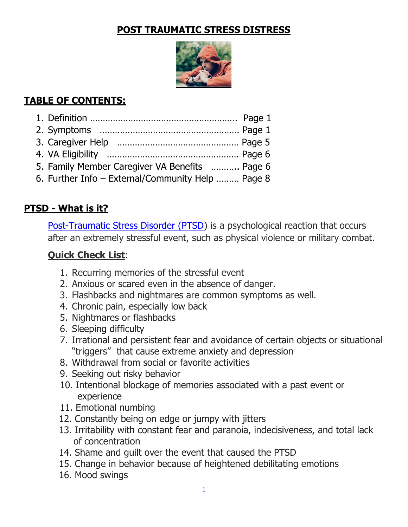#### POST TRAUMATIC STRESS DISTRESS



# TABLE OF CONTENTS:

| 5. Family Member Caregiver VA Benefits  Page 6    |  |
|---------------------------------------------------|--|
| 6. Further Info - External/Community Help  Page 8 |  |
|                                                   |  |

### PTSD - What is it?

Post-Traumatic Stress Disorder (PTSD) is a psychological reaction that occurs after an extremely stressful event, such as physical violence or military combat.

#### Quick Check List:

- 1. Recurring memories of the stressful event
- 2. Anxious or scared even in the absence of danger.
- 3. Flashbacks and nightmares are common symptoms as well.
- 4. Chronic pain, especially low back
- 5. Nightmares or flashbacks
- 6. Sleeping difficulty
- 7. Irrational and persistent fear and avoidance of certain objects or situational "triggers" that cause extreme anxiety and depression
- 8. Withdrawal from social or favorite activities
- 9. Seeking out risky behavior
- 10. Intentional blockage of memories associated with a past event or experience
- 11. Emotional numbing
- 12. Constantly being on edge or jumpy with jitters
- 13..Irritability with constant fear and paranoia, indecisiveness, and total lack of concentration
- 14. Shame and quilt over the event that caused the PTSD
- 15. Change in behavior because of heightened debilitating emotions
- 16. Mood swings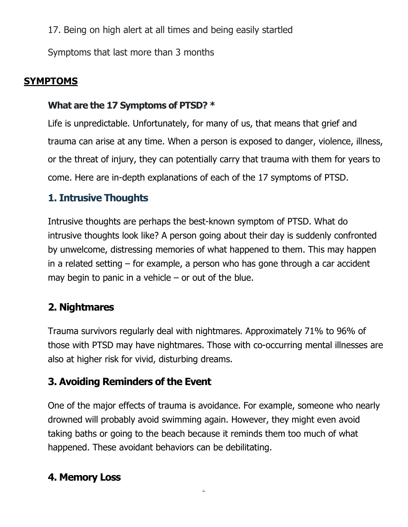17. Being on high alert at all times and being easily startled

Symptoms that last more than 3 months

# **SYMPTOMS**

#### What are the 17 Symptoms of PTSD? \*

Life is unpredictable. Unfortunately, for many of us, that means that grief and trauma can arise at any time. When a person is exposed to danger, violence, illness, or the threat of injury, they can potentially carry that trauma with them for years to come. Here are in-depth explanations of each of the 17 symptoms of PTSD.

# 1. Intrusive Thoughts

Intrusive thoughts are perhaps the best-known symptom of PTSD. What do intrusive thoughts look like? A person going about their day is suddenly confronted by unwelcome, distressing memories of what happened to them. This may happen in a related setting – for example, a person who has gone through a car accident may begin to panic in a vehicle  $-$  or out of the blue.

# 2. Nightmares

Trauma survivors regularly deal with nightmares. Approximately 71% to 96% of those with PTSD may have nightmares. Those with co-occurring mental illnesses are also at higher risk for vivid, disturbing dreams.

# 3. Avoiding Reminders of the Event

One of the major effects of trauma is avoidance. For example, someone who nearly drowned will probably avoid swimming again. However, they might even avoid taking baths or going to the beach because it reminds them too much of what happened. These avoidant behaviors can be debilitating.

# 4. Memory Loss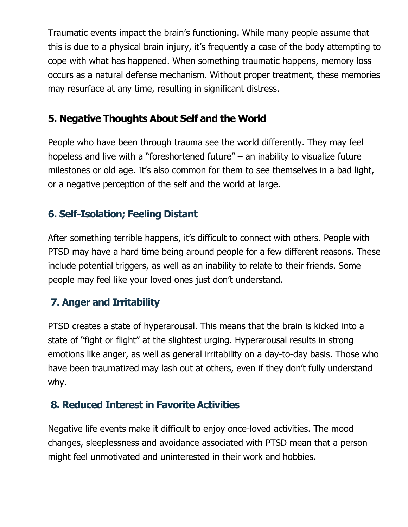Traumatic events impact the brain's functioning. While many people assume that this is due to a physical brain injury, it's frequently a case of the body attempting to cope with what has happened. When something traumatic happens, memory loss occurs as a natural defense mechanism. Without proper treatment, these memories may resurface at any time, resulting in significant distress.

# 5. Negative Thoughts About Self and the World

People who have been through trauma see the world differently. They may feel hopeless and live with a "foreshortened future" – an inability to visualize future milestones or old age. It's also common for them to see themselves in a bad light, or a negative perception of the self and the world at large.

# 6. Self-Isolation; Feeling Distant

After something terrible happens, it's difficult to connect with others. People with PTSD may have a hard time being around people for a few different reasons. These include potential triggers, as well as an inability to relate to their friends. Some people may feel like your loved ones just don't understand.

# 7. Anger and Irritability

PTSD creates a state of hyperarousal. This means that the brain is kicked into a state of "fight or flight" at the slightest urging. Hyperarousal results in strong emotions like anger, as well as general irritability on a day-to-day basis. Those who have been traumatized may lash out at others, even if they don't fully understand why.

# 8. Reduced Interest in Favorite Activities

Negative life events make it difficult to enjoy once-loved activities. The mood changes, sleeplessness and avoidance associated with PTSD mean that a person might feel unmotivated and uninterested in their work and hobbies.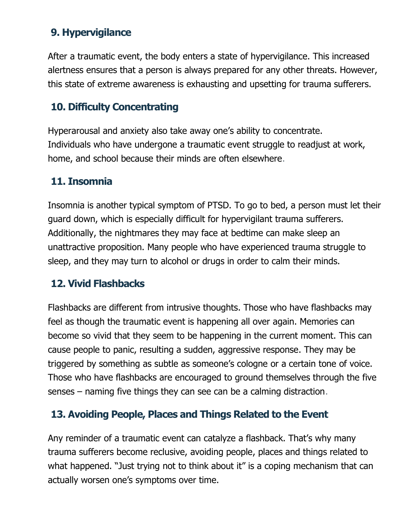# 9. Hypervigilance

After a traumatic event, the body enters a state of hypervigilance. This increased alertness ensures that a person is always prepared for any other threats. However, this state of extreme awareness is exhausting and upsetting for trauma sufferers.

### 10. Difficulty Concentrating

Hyperarousal and anxiety also take away one's ability to concentrate. Individuals who have undergone a traumatic event struggle to readjust at work, home, and school because their minds are often elsewhere.

#### 11. Insomnia

Insomnia is another typical symptom of PTSD. To go to bed, a person must let their guard down, which is especially difficult for hypervigilant trauma sufferers. Additionally, the nightmares they may face at bedtime can make sleep an unattractive proposition. Many people who have experienced trauma struggle to sleep, and they may turn to alcohol or drugs in order to calm their minds.

# 12. Vivid Flashbacks

Flashbacks are different from intrusive thoughts. Those who have flashbacks may feel as though the traumatic event is happening all over again. Memories can become so vivid that they seem to be happening in the current moment. This can cause people to panic, resulting a sudden, aggressive response. They may be triggered by something as subtle as someone's cologne or a certain tone of voice. Those who have flashbacks are encouraged to ground themselves through the five senses – naming five things they can see can be a calming distraction.

# 13. Avoiding People, Places and Things Related to the Event

Any reminder of a traumatic event can catalyze a flashback. That's why many trauma sufferers become reclusive, avoiding people, places and things related to what happened. "Just trying not to think about it" is a coping mechanism that can actually worsen one's symptoms over time.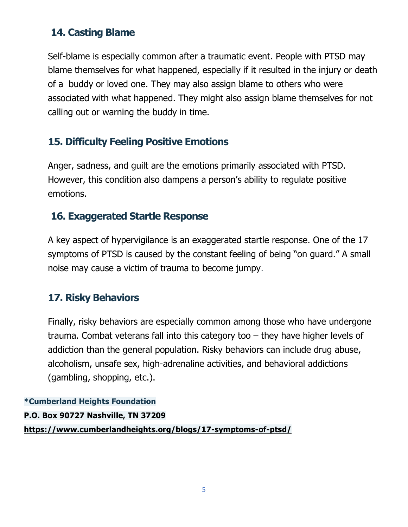### 14. Casting Blame

Self-blame is especially common after a traumatic event. People with PTSD may blame themselves for what happened, especially if it resulted in the injury or death of a buddy or loved one. They may also assign blame to others who were associated with what happened. They might also assign blame themselves for not calling out or warning the buddy in time.

### 15. Difficulty Feeling Positive Emotions

Anger, sadness, and guilt are the emotions primarily associated with PTSD. However, this condition also dampens a person's ability to regulate positive emotions.

### 16. Exaggerated Startle Response

A key aspect of hypervigilance is an exaggerated startle response. One of the 17 symptoms of PTSD is caused by the constant feeling of being "on guard." A small noise may cause a victim of trauma to become jumpy.

# 17. Risky Behaviors

Finally, risky behaviors are especially common among those who have undergone trauma. Combat veterans fall into this category too – they have higher levels of addiction than the general population. Risky behaviors can include drug abuse, alcoholism, unsafe sex, high-adrenaline activities, and behavioral addictions (gambling, shopping, etc.).

\*Cumberland Heights Foundation P.O. Box 90727 Nashville, TN 37209 https://www.cumberlandheights.org/blogs/17-symptoms-of-ptsd/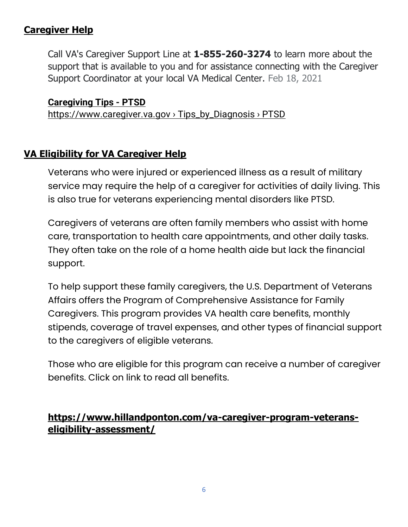#### Caregiver Help

Call VA's Caregiver Support Line at 1-855-260-3274 to learn more about the support that is available to you and for assistance connecting with the Caregiver Support Coordinator at your local VA Medical Center. Feb 18, 2021

#### Caregiving Tips - PTSD

https://www.caregiver.va.gov › Tips\_by\_Diagnosis › PTSD

#### VA Eligibility for VA Caregiver Help

Veterans who were injured or experienced illness as a result of military service may require the help of a caregiver for activities of daily living. This is also true for veterans experiencing mental disorders like PTSD.

Caregivers of veterans are often family members who assist with home care, transportation to health care appointments, and other daily tasks. They often take on the role of a home health aide but lack the financial support.

To help support these family caregivers, the U.S. Department of Veterans Affairs offers the Program of Comprehensive Assistance for Family Caregivers. This program provides VA health care benefits, monthly stipends, coverage of travel expenses, and other types of financial support to the caregivers of eligible veterans.

Those who are eligible for this program can receive a number of caregiver benefits. Click on link to read all benefits.

#### https://www.hillandponton.com/va-caregiver-program-veteranseligibility-assessment/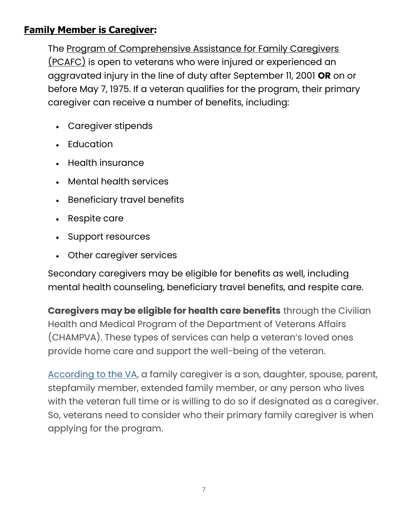#### Family Member is Caregiver:

The Program of Comprehensive Assistance for Family Caregivers (PCAFC) is open to veterans who were injured or experienced an aggravated injury in the line of duty after September 11, 2001 OR on or before May 7, 1975. If a veteran qualifies for the program, their primary caregiver can receive a number of benefits, including:

- Caregiver stipends
- Education
- Health insurance
- Mental health services
- Beneficiary travel benefits
- Respite care
- Support resources
- Other caregiver services

Secondary caregivers may be eligible for benefits as well, including mental health counseling, beneficiary travel benefits, and respite care.

Caregivers may be eligible for health care benefits through the Civilian Health and Medical Program of the Department of Veterans Affairs (CHAMPVA). These types of services can help a veteran's loved ones provide home care and support the well-being of the veteran.

According to the VA, a family caregiver is a son, daughter, spouse, parent, stepfamily member, extended family member, or any person who lives with the veteran full time or is willing to do so if designated as a caregiver. So, veterans need to consider who their primary family caregiver is when applying for the program.